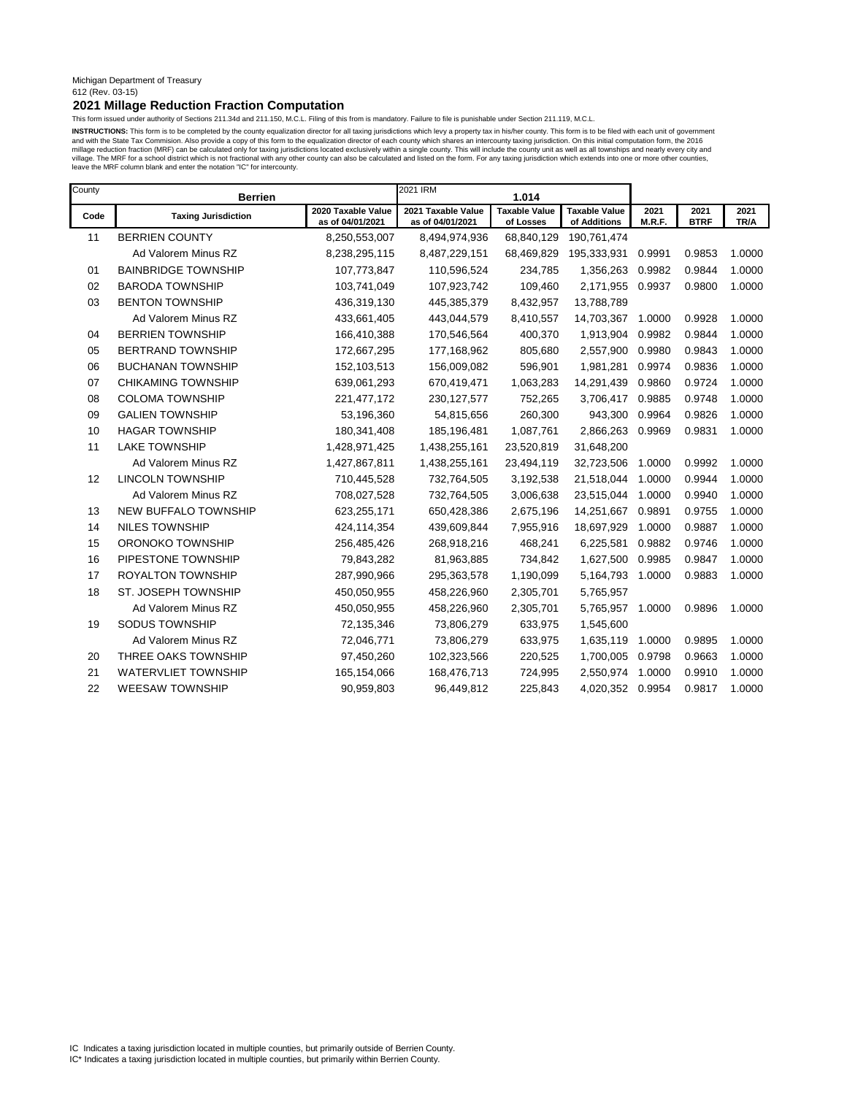### Michigan Department of Treasury 612 (Rev. 03-15)

## **2021 Millage Reduction Fraction Computation**

This form issued under authority of Sections 211.34d and 211.150, M.C.L. Filing of this from is mandatory. Failure to file is punishable under Section 211.119, M.C.L.

INSTRUCTIONS: This form is to be completed by the county equalization director for all taxing jurisdictions which levy a property tax in his/her county. This form is to be filed with each unit of government and with the State Tax Commision. Also provide a copy of this form to the equalization director of each county which shares an intercounty taxing jurisdiction. On this initial computation form, the 2016<br>millage reduction f leave the MRF column blank and enter the notation "IC" for intercounty.

| County | <b>Berrien</b>             |                                        | 2021 IRM                               | 1.014                             |                                      |                |                     |              |
|--------|----------------------------|----------------------------------------|----------------------------------------|-----------------------------------|--------------------------------------|----------------|---------------------|--------------|
| Code   | <b>Taxing Jurisdiction</b> | 2020 Taxable Value<br>as of 04/01/2021 | 2021 Taxable Value<br>as of 04/01/2021 | <b>Taxable Value</b><br>of Losses | <b>Taxable Value</b><br>of Additions | 2021<br>M.R.F. | 2021<br><b>BTRF</b> | 2021<br>TR/A |
| 11     | <b>BERRIEN COUNTY</b>      | 8,250,553,007                          | 8,494,974,936                          | 68,840,129                        | 190,761,474                          |                |                     |              |
|        | Ad Valorem Minus RZ        | 8,238,295,115                          | 8,487,229,151                          | 68,469,829                        | 195,333,931                          | 0.9991         | 0.9853              | 1.0000       |
| 01     | <b>BAINBRIDGE TOWNSHIP</b> | 107,773,847                            | 110,596,524                            | 234,785                           | 1,356,263                            | 0.9982         | 0.9844              | 1.0000       |
| 02     | <b>BARODA TOWNSHIP</b>     | 103,741,049                            | 107,923,742                            | 109,460                           | 2,171,955                            | 0.9937         | 0.9800              | 1.0000       |
| 03     | <b>BENTON TOWNSHIP</b>     | 436,319,130                            | 445,385,379                            | 8,432,957                         | 13,788,789                           |                |                     |              |
|        | Ad Valorem Minus RZ        | 433,661,405                            | 443,044,579                            | 8,410,557                         | 14,703,367                           | 1.0000         | 0.9928              | 1.0000       |
| 04     | <b>BERRIEN TOWNSHIP</b>    | 166,410,388                            | 170,546,564                            | 400,370                           | 1,913,904                            | 0.9982         | 0.9844              | 1.0000       |
| 05     | <b>BERTRAND TOWNSHIP</b>   | 172,667,295                            | 177,168,962                            | 805,680                           | 2,557,900                            | 0.9980         | 0.9843              | 1.0000       |
| 06     | <b>BUCHANAN TOWNSHIP</b>   | 152,103,513                            | 156,009,082                            | 596,901                           | 1,981,281                            | 0.9974         | 0.9836              | 1.0000       |
| 07     | <b>CHIKAMING TOWNSHIP</b>  | 639,061,293                            | 670,419,471                            | 1,063,283                         | 14,291,439                           | 0.9860         | 0.9724              | 1.0000       |
| 08     | <b>COLOMA TOWNSHIP</b>     | 221,477,172                            | 230, 127, 577                          | 752,265                           | 3,706,417                            | 0.9885         | 0.9748              | 1.0000       |
| 09     | <b>GALIEN TOWNSHIP</b>     | 53,196,360                             | 54,815,656                             | 260,300                           | 943,300                              | 0.9964         | 0.9826              | 1.0000       |
| 10     | <b>HAGAR TOWNSHIP</b>      | 180,341,408                            | 185,196,481                            | 1,087,761                         | 2,866,263                            | 0.9969         | 0.9831              | 1.0000       |
| 11     | <b>LAKE TOWNSHIP</b>       | 1,428,971,425                          | 1,438,255,161                          | 23,520,819                        | 31,648,200                           |                |                     |              |
|        | Ad Valorem Minus RZ        | 1,427,867,811                          | 1,438,255,161                          | 23,494,119                        | 32,723,506                           | 1.0000         | 0.9992              | 1.0000       |
| 12     | <b>LINCOLN TOWNSHIP</b>    | 710,445,528                            | 732,764,505                            | 3,192,538                         | 21,518,044                           | 1.0000         | 0.9944              | 1.0000       |
|        | Ad Valorem Minus RZ        | 708,027,528                            | 732,764,505                            | 3,006,638                         | 23,515,044                           | 1.0000         | 0.9940              | 1.0000       |
| 13     | NEW BUFFALO TOWNSHIP       | 623,255,171                            | 650,428,386                            | 2,675,196                         | 14,251,667                           | 0.9891         | 0.9755              | 1.0000       |
| 14     | <b>NILES TOWNSHIP</b>      | 424,114,354                            | 439,609,844                            | 7,955,916                         | 18,697,929                           | 1.0000         | 0.9887              | 1.0000       |
| 15     | ORONOKO TOWNSHIP           | 256,485,426                            | 268,918,216                            | 468,241                           | 6,225,581                            | 0.9882         | 0.9746              | 1.0000       |
| 16     | PIPESTONE TOWNSHIP         | 79,843,282                             | 81,963,885                             | 734,842                           | 1,627,500                            | 0.9985         | 0.9847              | 1.0000       |
| 17     | <b>ROYALTON TOWNSHIP</b>   | 287,990,966                            | 295,363,578                            | 1,190,099                         | 5,164,793                            | 1.0000         | 0.9883              | 1.0000       |
| 18     | ST. JOSEPH TOWNSHIP        | 450,050,955                            | 458,226,960                            | 2,305,701                         | 5,765,957                            |                |                     |              |
|        | Ad Valorem Minus RZ        | 450,050,955                            | 458,226,960                            | 2,305,701                         | 5,765,957                            | 1.0000         | 0.9896              | 1.0000       |
| 19     | <b>SODUS TOWNSHIP</b>      | 72,135,346                             | 73,806,279                             | 633,975                           | 1,545,600                            |                |                     |              |
|        | Ad Valorem Minus RZ        | 72,046,771                             | 73,806,279                             | 633,975                           | 1,635,119                            | 1.0000         | 0.9895              | 1.0000       |
| 20     | THREE OAKS TOWNSHIP        | 97,450,260                             | 102,323,566                            | 220,525                           | 1,700,005                            | 0.9798         | 0.9663              | 1.0000       |
| 21     | <b>WATERVLIET TOWNSHIP</b> | 165,154,066                            | 168,476,713                            | 724,995                           | 2,550,974                            | 1.0000         | 0.9910              | 1.0000       |
| 22     | <b>WEESAW TOWNSHIP</b>     | 90,959,803                             | 96,449,812                             | 225,843                           | 4,020,352                            | 0.9954         | 0.9817              | 1.0000       |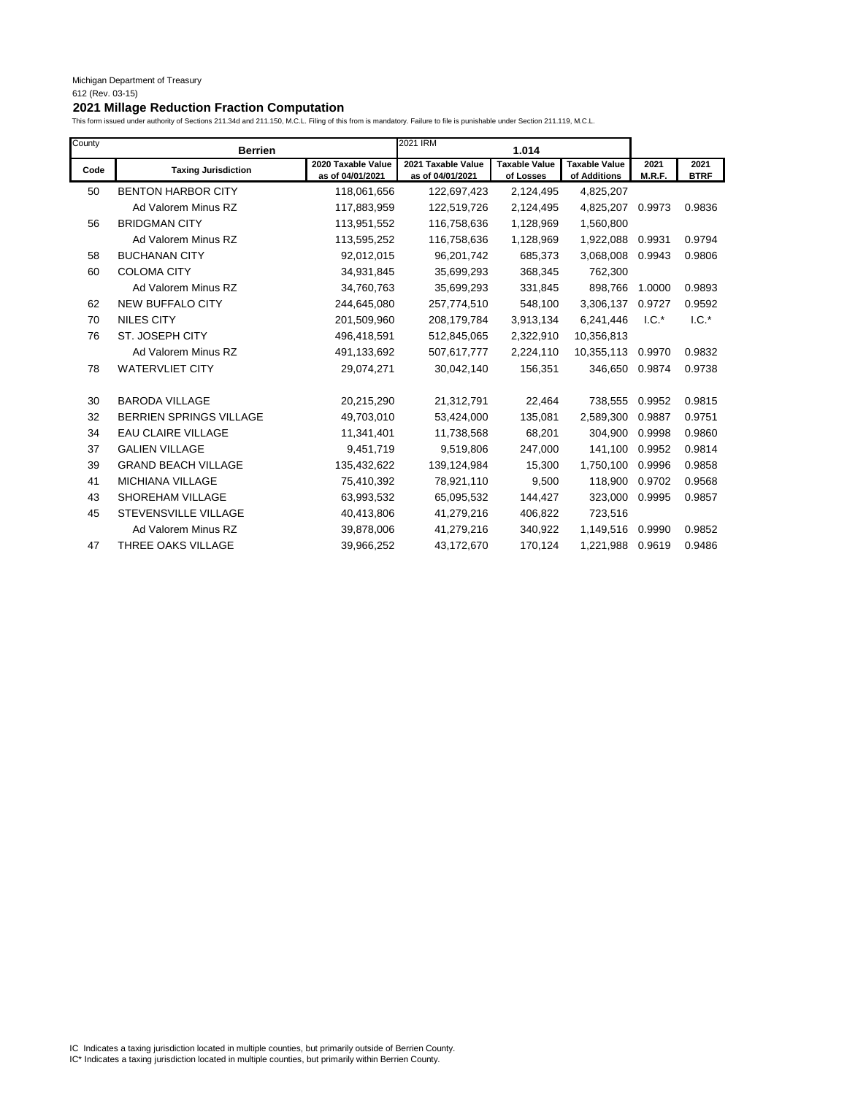I

| County | <b>Berrien</b>                 |                                        | 2021 IRM                               | 1.014                             |                                      |                |                     |
|--------|--------------------------------|----------------------------------------|----------------------------------------|-----------------------------------|--------------------------------------|----------------|---------------------|
| Code   | <b>Taxing Jurisdiction</b>     | 2020 Taxable Value<br>as of 04/01/2021 | 2021 Taxable Value<br>as of 04/01/2021 | <b>Taxable Value</b><br>of Losses | <b>Taxable Value</b><br>of Additions | 2021<br>M.R.F. | 2021<br><b>BTRF</b> |
| 50     | <b>BENTON HARBOR CITY</b>      | 118,061,656                            | 122,697,423                            | 2,124,495                         | 4,825,207                            |                |                     |
|        | Ad Valorem Minus RZ            | 117,883,959                            | 122,519,726                            | 2,124,495                         | 4,825,207                            | 0.9973         | 0.9836              |
| 56     | <b>BRIDGMAN CITY</b>           | 113,951,552                            | 116,758,636                            | 1,128,969                         | 1,560,800                            |                |                     |
|        | Ad Valorem Minus RZ            | 113,595,252                            | 116,758,636                            | 1,128,969                         | 1,922,088                            | 0.9931         | 0.9794              |
| 58     | <b>BUCHANAN CITY</b>           | 92,012,015                             | 96,201,742                             | 685,373                           | 3,068,008                            | 0.9943         | 0.9806              |
| 60     | <b>COLOMA CITY</b>             | 34,931,845                             | 35,699,293                             | 368,345                           | 762,300                              |                |                     |
|        | Ad Valorem Minus RZ            | 34,760,763                             | 35,699,293                             | 331,845                           | 898,766                              | 1.0000         | 0.9893              |
| 62     | <b>NEW BUFFALO CITY</b>        | 244,645,080                            | 257,774,510                            | 548,100                           | 3,306,137                            | 0.9727         | 0.9592              |
| 70     | <b>NILES CITY</b>              | 201,509,960                            | 208,179,784                            | 3,913,134                         | 6,241,446                            | $1.C.*$        | $1.C.*$             |
| 76     | ST. JOSEPH CITY                | 496,418,591                            | 512,845,065                            | 2,322,910                         | 10,356,813                           |                |                     |
|        | Ad Valorem Minus RZ            | 491,133,692                            | 507,617,777                            | 2,224,110                         | 10,355,113                           | 0.9970         | 0.9832              |
| 78     | <b>WATERVLIET CITY</b>         | 29,074,271                             | 30,042,140                             | 156,351                           | 346,650                              | 0.9874         | 0.9738              |
| 30     | <b>BARODA VILLAGE</b>          | 20,215,290                             | 21,312,791                             | 22,464                            | 738,555                              | 0.9952         | 0.9815              |
| 32     | <b>BERRIEN SPRINGS VILLAGE</b> | 49,703,010                             | 53,424,000                             | 135,081                           | 2,589,300                            | 0.9887         | 0.9751              |
| 34     | <b>EAU CLAIRE VILLAGE</b>      | 11,341,401                             | 11,738,568                             | 68,201                            | 304,900                              | 0.9998         | 0.9860              |
| 37     | <b>GALIEN VILLAGE</b>          | 9,451,719                              | 9,519,806                              | 247,000                           | 141,100                              | 0.9952         | 0.9814              |
| 39     | <b>GRAND BEACH VILLAGE</b>     | 135,432,622                            | 139,124,984                            | 15,300                            | 1,750,100                            | 0.9996         | 0.9858              |
| 41     | MICHIANA VILLAGE               | 75,410,392                             | 78,921,110                             | 9,500                             | 118,900                              | 0.9702         | 0.9568              |
| 43     | SHOREHAM VILLAGE               | 63,993,532                             | 65,095,532                             | 144,427                           | 323,000                              | 0.9995         | 0.9857              |
| 45     | <b>STEVENSVILLE VILLAGE</b>    | 40,413,806                             | 41,279,216                             | 406,822                           | 723,516                              |                |                     |
|        | Ad Valorem Minus RZ            | 39,878,006                             | 41,279,216                             | 340,922                           | 1,149,516                            | 0.9990         | 0.9852              |
| 47     | <b>THREE OAKS VILLAGE</b>      | 39,966,252                             | 43,172,670                             | 170,124                           | 1,221,988                            | 0.9619         | 0.9486              |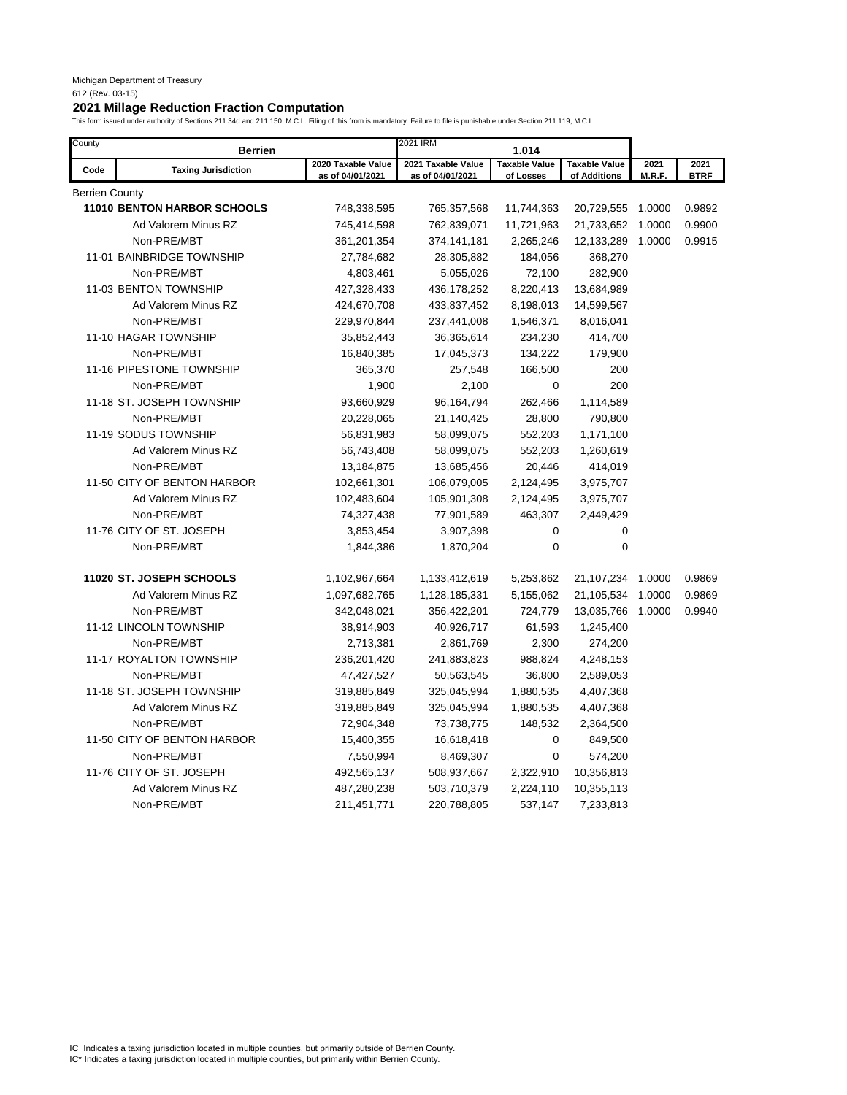| County         | <b>Berrien</b>              |                                        | 2021 IRM                               | 1.014                             |                                      |                |                     |
|----------------|-----------------------------|----------------------------------------|----------------------------------------|-----------------------------------|--------------------------------------|----------------|---------------------|
| Code           | <b>Taxing Jurisdiction</b>  | 2020 Taxable Value<br>as of 04/01/2021 | 2021 Taxable Value<br>as of 04/01/2021 | <b>Taxable Value</b><br>of Losses | <b>Taxable Value</b><br>of Additions | 2021<br>M.R.F. | 2021<br><b>BTRF</b> |
| Berrien County |                             |                                        |                                        |                                   |                                      |                |                     |
|                | 11010 BENTON HARBOR SCHOOLS | 748,338,595                            | 765,357,568                            | 11,744,363                        | 20,729,555                           | 1.0000         | 0.9892              |
|                | Ad Valorem Minus RZ         | 745,414,598                            | 762,839,071                            | 11,721,963                        | 21,733,652                           | 1.0000         | 0.9900              |
|                | Non-PRE/MBT                 | 361,201,354                            | 374,141,181                            | 2,265,246                         | 12,133,289                           | 1.0000         | 0.9915              |
|                | 11-01 BAINBRIDGE TOWNSHIP   | 27,784,682                             | 28,305,882                             | 184,056                           | 368,270                              |                |                     |
|                | Non-PRE/MBT                 | 4,803,461                              | 5,055,026                              | 72,100                            | 282,900                              |                |                     |
|                | 11-03 BENTON TOWNSHIP       | 427,328,433                            | 436,178,252                            | 8,220,413                         | 13,684,989                           |                |                     |
|                | Ad Valorem Minus RZ         | 424,670,708                            | 433,837,452                            | 8,198,013                         | 14,599,567                           |                |                     |
|                | Non-PRE/MBT                 | 229,970,844                            | 237,441,008                            | 1,546,371                         | 8,016,041                            |                |                     |
|                | 11-10 HAGAR TOWNSHIP        | 35,852,443                             | 36,365,614                             | 234,230                           | 414,700                              |                |                     |
|                | Non-PRE/MBT                 | 16,840,385                             | 17,045,373                             | 134,222                           | 179,900                              |                |                     |
|                | 11-16 PIPESTONE TOWNSHIP    | 365,370                                | 257,548                                | 166,500                           | 200                                  |                |                     |
|                | Non-PRE/MBT                 | 1,900                                  | 2,100                                  | 0                                 | 200                                  |                |                     |
|                | 11-18 ST. JOSEPH TOWNSHIP   | 93,660,929                             | 96,164,794                             | 262,466                           | 1,114,589                            |                |                     |
|                | Non-PRE/MBT                 | 20,228,065                             | 21,140,425                             | 28,800                            | 790,800                              |                |                     |
|                | 11-19 SODUS TOWNSHIP        | 56,831,983                             | 58,099,075                             | 552,203                           | 1,171,100                            |                |                     |
|                | Ad Valorem Minus RZ         | 56,743,408                             | 58,099,075                             | 552,203                           | 1,260,619                            |                |                     |
|                | Non-PRE/MBT                 | 13,184,875                             | 13,685,456                             | 20,446                            | 414,019                              |                |                     |
|                | 11-50 CITY OF BENTON HARBOR | 102,661,301                            | 106,079,005                            | 2,124,495                         | 3,975,707                            |                |                     |
|                | Ad Valorem Minus RZ         | 102,483,604                            | 105,901,308                            | 2,124,495                         | 3,975,707                            |                |                     |
|                | Non-PRE/MBT                 | 74,327,438                             | 77,901,589                             | 463,307                           | 2,449,429                            |                |                     |
|                | 11-76 CITY OF ST. JOSEPH    | 3,853,454                              | 3,907,398                              | 0                                 | 0                                    |                |                     |
|                | Non-PRE/MBT                 | 1,844,386                              | 1,870,204                              | $\mathbf 0$                       | $\mathbf 0$                          |                |                     |
|                | 11020 ST. JOSEPH SCHOOLS    | 1,102,967,664                          | 1,133,412,619                          | 5,253,862                         | 21,107,234                           | 1.0000         | 0.9869              |
|                | Ad Valorem Minus RZ         | 1,097,682,765                          | 1,128,185,331                          | 5,155,062                         | 21,105,534                           | 1.0000         | 0.9869              |
|                | Non-PRE/MBT                 | 342,048,021                            | 356,422,201                            | 724,779                           | 13,035,766                           | 1.0000         | 0.9940              |
|                | 11-12 LINCOLN TOWNSHIP      | 38,914,903                             | 40,926,717                             | 61,593                            | 1,245,400                            |                |                     |
|                | Non-PRE/MBT                 | 2,713,381                              | 2,861,769                              | 2,300                             | 274,200                              |                |                     |
|                | 11-17 ROYALTON TOWNSHIP     | 236,201,420                            | 241,883,823                            | 988,824                           | 4,248,153                            |                |                     |
|                | Non-PRE/MBT                 | 47,427,527                             | 50,563,545                             | 36,800                            | 2,589,053                            |                |                     |
|                | 11-18 ST. JOSEPH TOWNSHIP   | 319,885,849                            | 325,045,994                            | 1,880,535                         | 4,407,368                            |                |                     |
|                | Ad Valorem Minus RZ         | 319,885,849                            | 325,045,994                            | 1,880,535                         | 4,407,368                            |                |                     |
|                | Non-PRE/MBT                 | 72,904,348                             | 73,738,775                             | 148,532                           | 2,364,500                            |                |                     |
|                | 11-50 CITY OF BENTON HARBOR | 15,400,355                             | 16,618,418                             | 0                                 | 849,500                              |                |                     |
|                | Non-PRE/MBT                 | 7,550,994                              | 8,469,307                              | $\mathbf 0$                       | 574,200                              |                |                     |
|                | 11-76 CITY OF ST. JOSEPH    | 492,565,137                            | 508,937,667                            | 2,322,910                         | 10,356,813                           |                |                     |
|                | Ad Valorem Minus RZ         | 487,280,238                            | 503,710,379                            | 2,224,110                         | 10,355,113                           |                |                     |
|                | Non-PRE/MBT                 | 211,451,771                            | 220,788,805                            | 537,147                           | 7,233,813                            |                |                     |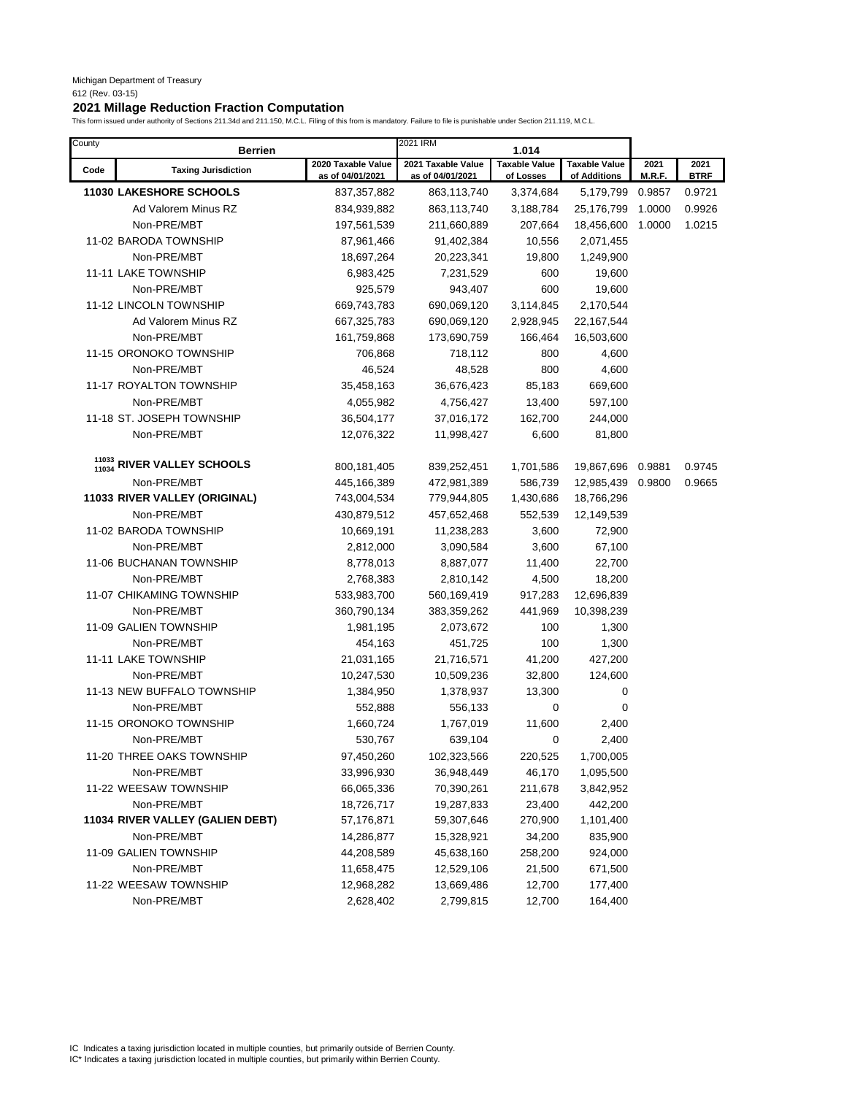| County         | <b>Berrien</b>                   |                                        | 2021 IRM                               | 1.014                             |                                      |                |                     |
|----------------|----------------------------------|----------------------------------------|----------------------------------------|-----------------------------------|--------------------------------------|----------------|---------------------|
| Code           | <b>Taxing Jurisdiction</b>       | 2020 Taxable Value<br>as of 04/01/2021 | 2021 Taxable Value<br>as of 04/01/2021 | <b>Taxable Value</b><br>of Losses | <b>Taxable Value</b><br>of Additions | 2021<br>M.R.F. | 2021<br><b>BTRF</b> |
|                | <b>11030 LAKESHORE SCHOOLS</b>   | 837, 357, 882                          | 863,113,740                            | 3,374,684                         | 5,179,799                            | 0.9857         | 0.9721              |
|                | Ad Valorem Minus RZ              | 834,939,882                            | 863,113,740                            | 3,188,784                         | 25,176,799                           | 1.0000         | 0.9926              |
|                | Non-PRE/MBT                      | 197,561,539                            | 211,660,889                            | 207,664                           | 18,456,600                           | 1.0000         | 1.0215              |
|                | 11-02 BARODA TOWNSHIP            | 87,961,466                             | 91,402,384                             | 10,556                            | 2,071,455                            |                |                     |
|                | Non-PRE/MBT                      | 18,697,264                             | 20,223,341                             | 19,800                            | 1,249,900                            |                |                     |
|                | 11-11 LAKE TOWNSHIP              | 6,983,425                              | 7,231,529                              | 600                               | 19,600                               |                |                     |
|                | Non-PRE/MBT                      | 925,579                                | 943,407                                | 600                               | 19,600                               |                |                     |
|                | 11-12 LINCOLN TOWNSHIP           | 669,743,783                            | 690,069,120                            | 3,114,845                         | 2,170,544                            |                |                     |
|                | Ad Valorem Minus RZ              | 667,325,783                            | 690,069,120                            | 2,928,945                         | 22,167,544                           |                |                     |
|                | Non-PRE/MBT                      | 161,759,868                            | 173,690,759                            | 166,464                           | 16,503,600                           |                |                     |
|                | 11-15 ORONOKO TOWNSHIP           | 706,868                                | 718,112                                | 800                               | 4,600                                |                |                     |
|                | Non-PRE/MBT                      | 46,524                                 | 48,528                                 | 800                               | 4,600                                |                |                     |
|                | 11-17 ROYALTON TOWNSHIP          | 35,458,163                             | 36,676,423                             | 85,183                            | 669,600                              |                |                     |
|                | Non-PRE/MBT                      | 4,055,982                              | 4,756,427                              | 13,400                            | 597,100                              |                |                     |
|                | 11-18 ST. JOSEPH TOWNSHIP        | 36,504,177                             | 37,016,172                             | 162,700                           | 244,000                              |                |                     |
|                | Non-PRE/MBT                      | 12,076,322                             | 11,998,427                             | 6,600                             | 81,800                               |                |                     |
|                | RIVER VALLEY SCHOOLS             |                                        |                                        |                                   |                                      |                |                     |
| 11033<br>11034 |                                  | 800,181,405                            | 839,252,451                            | 1,701,586                         | 19,867,696                           | 0.9881         | 0.9745              |
|                | Non-PRE/MBT                      | 445,166,389                            | 472,981,389                            | 586,739                           | 12,985,439                           | 0.9800         | 0.9665              |
|                | 11033 RIVER VALLEY (ORIGINAL)    | 743,004,534                            | 779,944,805                            | 1,430,686                         | 18,766,296                           |                |                     |
|                | Non-PRE/MBT                      | 430,879,512                            | 457,652,468                            | 552,539                           | 12,149,539                           |                |                     |
|                | 11-02 BARODA TOWNSHIP            | 10,669,191                             | 11,238,283                             | 3,600                             | 72,900                               |                |                     |
|                | Non-PRE/MBT                      | 2,812,000                              | 3,090,584                              | 3,600                             | 67,100                               |                |                     |
|                | 11-06 BUCHANAN TOWNSHIP          | 8,778,013                              | 8,887,077                              | 11,400                            | 22,700                               |                |                     |
|                | Non-PRE/MBT                      | 2,768,383                              | 2,810,142                              | 4,500                             | 18,200                               |                |                     |
|                | 11-07 CHIKAMING TOWNSHIP         | 533,983,700                            | 560,169,419                            | 917,283                           | 12,696,839                           |                |                     |
|                | Non-PRE/MBT                      | 360,790,134                            | 383,359,262                            | 441,969                           | 10,398,239                           |                |                     |
|                | 11-09 GALIEN TOWNSHIP            | 1,981,195                              | 2,073,672                              | 100                               | 1,300                                |                |                     |
|                | Non-PRE/MBT                      | 454,163                                | 451,725                                | 100                               | 1,300                                |                |                     |
|                | 11-11 LAKE TOWNSHIP              | 21,031,165                             | 21,716,571                             | 41,200                            | 427,200                              |                |                     |
|                | Non-PRE/MBT                      | 10,247,530                             | 10,509,236                             | 32,800                            | 124,600                              |                |                     |
|                | 11-13 NEW BUFFALO TOWNSHIP       | 1,384,950                              | 1,378,937                              | 13,300                            | 0                                    |                |                     |
|                | Non-PRE/MBT                      | 552,888                                | 556,133                                | 0                                 | 0                                    |                |                     |
|                | 11-15 ORONOKO TOWNSHIP           | 1,660,724                              | 1,767,019                              | 11,600                            | 2,400                                |                |                     |
|                | Non-PRE/MBT                      | 530,767                                | 639,104                                | 0                                 | 2,400                                |                |                     |
|                | 11-20 THREE OAKS TOWNSHIP        | 97,450,260                             | 102,323,566                            | 220,525                           | 1,700,005                            |                |                     |
|                | Non-PRE/MBT                      | 33,996,930                             | 36,948,449                             | 46,170                            | 1,095,500                            |                |                     |
|                | 11-22 WEESAW TOWNSHIP            | 66,065,336                             | 70,390,261                             | 211,678                           | 3,842,952                            |                |                     |
|                | Non-PRE/MBT                      | 18,726,717                             | 19,287,833                             | 23,400                            | 442,200                              |                |                     |
|                | 11034 RIVER VALLEY (GALIEN DEBT) | 57,176,871                             | 59,307,646                             | 270,900                           | 1,101,400                            |                |                     |
|                | Non-PRE/MBT                      | 14,286,877                             | 15,328,921                             | 34,200                            | 835,900                              |                |                     |
|                | 11-09 GALIEN TOWNSHIP            | 44,208,589                             | 45,638,160                             | 258,200                           | 924,000                              |                |                     |
|                | Non-PRE/MBT                      | 11,658,475                             | 12,529,106                             | 21,500                            | 671,500                              |                |                     |
|                | 11-22 WEESAW TOWNSHIP            | 12,968,282                             | 13,669,486                             | 12,700                            | 177,400                              |                |                     |
|                | Non-PRE/MBT                      | 2,628,402                              | 2,799,815                              | 12,700                            | 164,400                              |                |                     |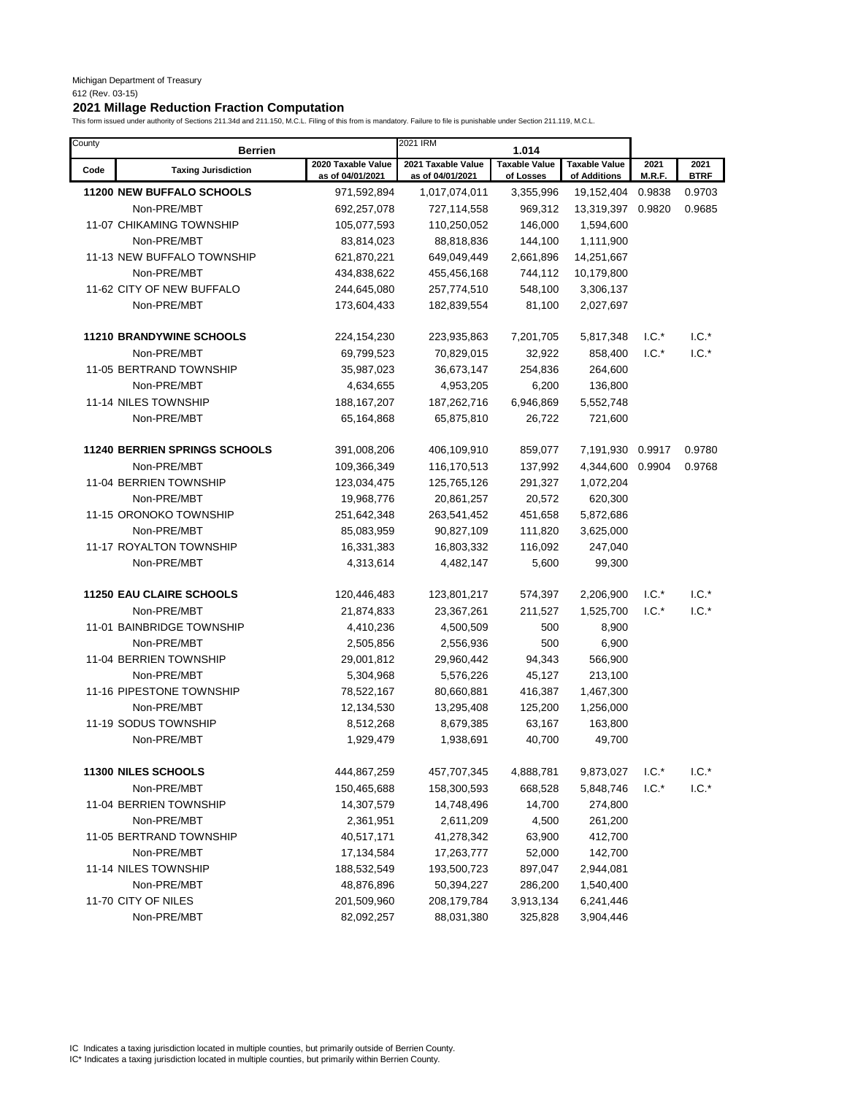# **2021 Millage Reduction Fraction Computation**

This form issued under authority of Sections 211.34d and 211.150, M.C.L. Filing of this from is mandatory. Failure to file is punishable under Section 211.119, M.C.L.

| County | <b>Berrien</b>                       |                                        | 2021 IRM                               | 1.014                             |                                      |                |                     |
|--------|--------------------------------------|----------------------------------------|----------------------------------------|-----------------------------------|--------------------------------------|----------------|---------------------|
| Code   | <b>Taxing Jurisdiction</b>           | 2020 Taxable Value<br>as of 04/01/2021 | 2021 Taxable Value<br>as of 04/01/2021 | <b>Taxable Value</b><br>of Losses | <b>Taxable Value</b><br>of Additions | 2021<br>M.R.F. | 2021<br><b>BTRF</b> |
|        | 11200 NEW BUFFALO SCHOOLS            | 971,592,894                            | 1,017,074,011                          | 3,355,996                         | 19,152,404                           | 0.9838         | 0.9703              |
|        | Non-PRE/MBT                          | 692,257,078                            | 727,114,558                            | 969,312                           | 13,319,397                           | 0.9820         | 0.9685              |
|        | <b>11-07 CHIKAMING TOWNSHIP</b>      | 105,077,593                            | 110,250,052                            | 146,000                           | 1,594,600                            |                |                     |
|        | Non-PRE/MBT                          | 83,814,023                             | 88,818,836                             | 144,100                           | 1,111,900                            |                |                     |
|        | 11-13 NEW BUFFALO TOWNSHIP           | 621,870,221                            | 649,049,449                            | 2,661,896                         | 14,251,667                           |                |                     |
|        | Non-PRE/MBT                          | 434,838,622                            | 455,456,168                            | 744,112                           | 10,179,800                           |                |                     |
|        | 11-62 CITY OF NEW BUFFALO            | 244,645,080                            | 257,774,510                            | 548,100                           | 3,306,137                            |                |                     |
|        | Non-PRE/MBT                          | 173,604,433                            | 182,839,554                            | 81,100                            | 2,027,697                            |                |                     |
|        | <b>11210 BRANDYWINE SCHOOLS</b>      | 224, 154, 230                          | 223,935,863                            | 7,201,705                         | 5,817,348                            | $1.C.^*$       | $1.C.*$             |
|        | Non-PRE/MBT                          | 69,799,523                             | 70,829,015                             | 32,922                            | 858,400                              | $1.C.*$        | $1.C.*$             |
|        | 11-05 BERTRAND TOWNSHIP              | 35,987,023                             | 36,673,147                             | 254,836                           | 264,600                              |                |                     |
|        | Non-PRE/MBT                          | 4,634,655                              | 4,953,205                              | 6,200                             | 136,800                              |                |                     |
|        | 11-14 NILES TOWNSHIP                 | 188, 167, 207                          | 187,262,716                            | 6,946,869                         | 5,552,748                            |                |                     |
|        | Non-PRE/MBT                          | 65,164,868                             | 65,875,810                             | 26,722                            | 721,600                              |                |                     |
|        |                                      |                                        |                                        |                                   |                                      |                |                     |
|        | <b>11240 BERRIEN SPRINGS SCHOOLS</b> | 391,008,206                            | 406,109,910                            | 859,077                           | 7,191,930                            | 0.9917         | 0.9780              |
|        | Non-PRE/MBT                          | 109,366,349                            | 116,170,513                            | 137,992                           | 4,344,600                            | 0.9904         | 0.9768              |
|        | 11-04 BERRIEN TOWNSHIP               | 123,034,475                            | 125,765,126                            | 291,327                           | 1,072,204                            |                |                     |
|        | Non-PRE/MBT                          | 19,968,776                             | 20,861,257                             | 20,572                            | 620,300                              |                |                     |
|        | 11-15 ORONOKO TOWNSHIP               | 251,642,348                            | 263,541,452                            | 451,658                           | 5,872,686                            |                |                     |
|        | Non-PRE/MBT                          | 85,083,959                             | 90,827,109                             | 111,820                           | 3,625,000                            |                |                     |
|        | 11-17 ROYALTON TOWNSHIP              | 16,331,383                             | 16,803,332                             | 116,092                           | 247,040                              |                |                     |
|        | Non-PRE/MBT                          | 4,313,614                              | 4,482,147                              | 5,600                             | 99,300                               |                |                     |
|        | <b>11250 EAU CLAIRE SCHOOLS</b>      | 120,446,483                            | 123,801,217                            | 574,397                           | 2,206,900                            | $1.C.*$        | $1.C.*$             |
|        | Non-PRE/MBT                          | 21,874,833                             | 23,367,261                             | 211,527                           | 1,525,700                            | $1.C.*$        | $1.C.*$             |
|        | 11-01 BAINBRIDGE TOWNSHIP            | 4,410,236                              | 4,500,509                              | 500                               | 8,900                                |                |                     |
|        | Non-PRE/MBT                          | 2,505,856                              | 2,556,936                              | 500                               | 6,900                                |                |                     |
|        | 11-04 BERRIEN TOWNSHIP               | 29,001,812                             | 29,960,442                             | 94,343                            | 566,900                              |                |                     |
|        | Non-PRE/MBT                          | 5,304,968                              | 5,576,226                              | 45,127                            | 213,100                              |                |                     |
|        | 11-16 PIPESTONE TOWNSHIP             | 78,522,167                             | 80,660,881                             | 416,387                           | 1,467,300                            |                |                     |
|        | Non-PRE/MBT                          | 12,134,530                             | 13,295,408                             | 125,200                           | 1,256,000                            |                |                     |
|        | 11-19 SODUS TOWNSHIP                 | 8,512,268                              | 8,679,385                              | 63,167                            | 163,800                              |                |                     |
|        | Non-PRE/MBT                          | 1,929,479                              | 1,938,691                              | 40,700                            | 49,700                               |                |                     |
|        | 11300 NILES SCHOOLS                  | 444,867,259                            | 457,707,345                            | 4,888,781                         | 9,873,027                            | $1.C.*$        | $1.C.*$             |
|        | Non-PRE/MBT                          | 150,465,688                            | 158,300,593                            | 668,528                           | 5,848,746                            | $1.C.*$        | $1.C.*$             |
|        | 11-04 BERRIEN TOWNSHIP               | 14,307,579                             | 14,748,496                             | 14,700                            | 274,800                              |                |                     |
|        | Non-PRE/MBT                          | 2,361,951                              | 2,611,209                              | 4,500                             | 261,200                              |                |                     |
|        | 11-05 BERTRAND TOWNSHIP              | 40,517,171                             | 41,278,342                             | 63,900                            | 412,700                              |                |                     |
|        | Non-PRE/MBT                          | 17,134,584                             | 17,263,777                             | 52,000                            | 142,700                              |                |                     |
|        | 11-14 NILES TOWNSHIP                 | 188,532,549                            | 193,500,723                            | 897,047                           | 2,944,081                            |                |                     |
|        | Non-PRE/MBT                          | 48,876,896                             | 50,394,227                             | 286,200                           | 1,540,400                            |                |                     |
|        | 11-70 CITY OF NILES                  | 201,509,960                            | 208,179,784                            | 3,913,134                         | 6,241,446                            |                |                     |
|        | Non-PRE/MBT                          | 82,092,257                             | 88,031,380                             | 325,828                           | 3,904,446                            |                |                     |
|        |                                      |                                        |                                        |                                   |                                      |                |                     |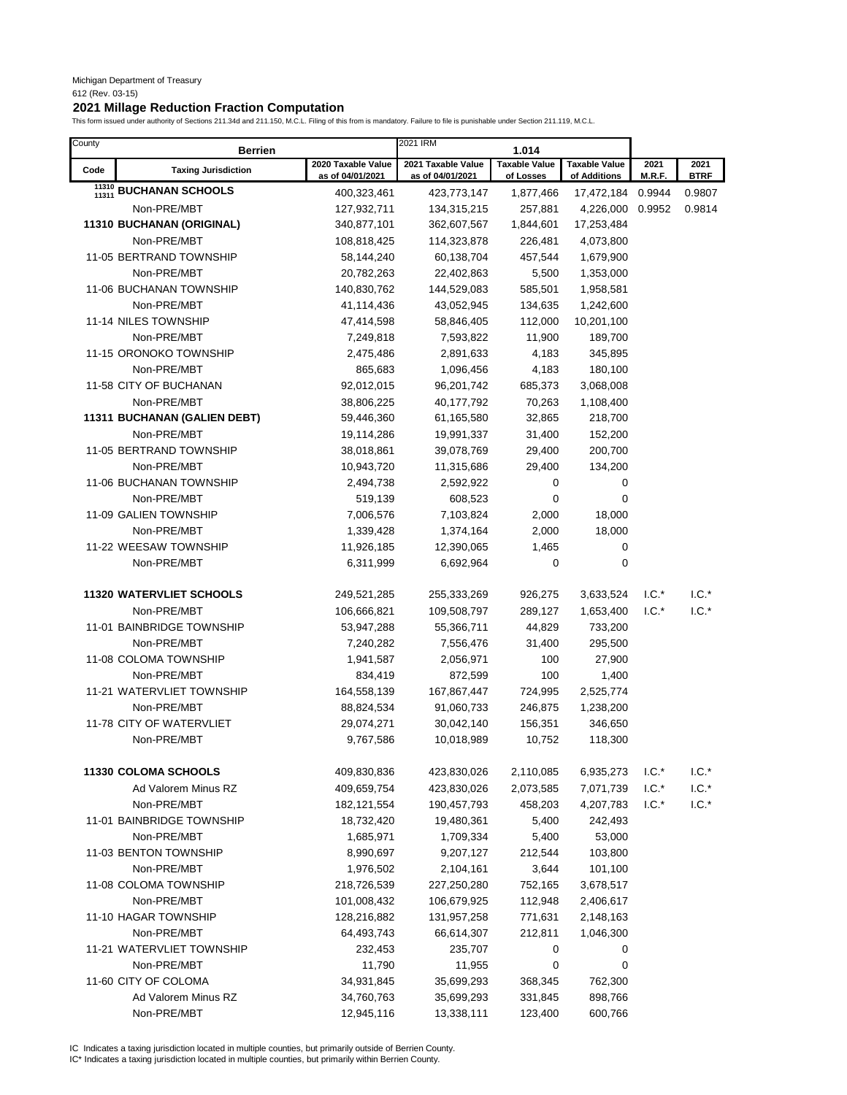# **2021 Millage Reduction Fraction Computation**

This form issued under authority of Sections 211.34d and 211.150, M.C.L. Filing of this from is mandatory. Failure to file is punishable under Section 211.119, M.C.L.

| County         | <b>Berrien</b>                  |                                        | 2021 IRM                               | 1.014                             |                                      |                |                     |
|----------------|---------------------------------|----------------------------------------|----------------------------------------|-----------------------------------|--------------------------------------|----------------|---------------------|
| Code           | <b>Taxing Jurisdiction</b>      | 2020 Taxable Value<br>as of 04/01/2021 | 2021 Taxable Value<br>as of 04/01/2021 | <b>Taxable Value</b><br>of Losses | <b>Taxable Value</b><br>of Additions | 2021<br>M.R.F. | 2021<br><b>BTRF</b> |
| 11310<br>11311 | <b>BUCHANAN SCHOOLS</b>         | 400,323,461                            | 423,773,147                            | 1,877,466                         | 17,472,184 0.9944                    |                | 0.9807              |
|                | Non-PRE/MBT                     | 127,932,711                            | 134,315,215                            | 257,881                           | 4,226,000                            | 0.9952         | 0.9814              |
|                | 11310 BUCHANAN (ORIGINAL)       | 340,877,101                            | 362,607,567                            | 1,844,601                         | 17,253,484                           |                |                     |
|                | Non-PRE/MBT                     | 108,818,425                            | 114,323,878                            | 226,481                           | 4,073,800                            |                |                     |
|                | 11-05 BERTRAND TOWNSHIP         | 58,144,240                             | 60,138,704                             | 457,544                           | 1,679,900                            |                |                     |
|                | Non-PRE/MBT                     | 20,782,263                             | 22,402,863                             | 5,500                             | 1,353,000                            |                |                     |
|                | 11-06 BUCHANAN TOWNSHIP         | 140,830,762                            | 144,529,083                            | 585,501                           | 1,958,581                            |                |                     |
|                | Non-PRE/MBT                     | 41,114,436                             | 43,052,945                             | 134,635                           | 1,242,600                            |                |                     |
|                | 11-14 NILES TOWNSHIP            | 47,414,598                             | 58,846,405                             | 112,000                           | 10,201,100                           |                |                     |
|                | Non-PRE/MBT                     | 7,249,818                              | 7,593,822                              | 11,900                            | 189,700                              |                |                     |
|                | 11-15 ORONOKO TOWNSHIP          | 2,475,486                              | 2,891,633                              | 4,183                             | 345,895                              |                |                     |
|                | Non-PRE/MBT                     | 865,683                                | 1,096,456                              | 4,183                             | 180,100                              |                |                     |
|                | 11-58 CITY OF BUCHANAN          | 92,012,015                             | 96,201,742                             | 685,373                           | 3,068,008                            |                |                     |
|                | Non-PRE/MBT                     | 38,806,225                             | 40,177,792                             | 70,263                            | 1,108,400                            |                |                     |
|                | 11311 BUCHANAN (GALIEN DEBT)    | 59,446,360                             | 61,165,580                             | 32,865                            | 218,700                              |                |                     |
|                | Non-PRE/MBT                     | 19,114,286                             | 19,991,337                             | 31,400                            | 152,200                              |                |                     |
|                | 11-05 BERTRAND TOWNSHIP         | 38,018,861                             | 39,078,769                             | 29,400                            | 200,700                              |                |                     |
|                | Non-PRE/MBT                     | 10,943,720                             | 11,315,686                             | 29,400                            | 134,200                              |                |                     |
|                | 11-06 BUCHANAN TOWNSHIP         | 2,494,738                              | 2,592,922                              | 0                                 | 0                                    |                |                     |
|                | Non-PRE/MBT                     | 519,139                                | 608,523                                | 0                                 | 0                                    |                |                     |
|                | 11-09 GALIEN TOWNSHIP           | 7,006,576                              | 7,103,824                              | 2,000                             | 18,000                               |                |                     |
|                | Non-PRE/MBT                     | 1,339,428                              | 1,374,164                              | 2,000                             | 18,000                               |                |                     |
|                | 11-22 WEESAW TOWNSHIP           | 11,926,185                             | 12,390,065                             | 1,465                             | 0                                    |                |                     |
|                | Non-PRE/MBT                     | 6,311,999                              | 6,692,964                              | 0                                 | 0                                    |                |                     |
|                | <b>11320 WATERVLIET SCHOOLS</b> | 249,521,285                            | 255,333,269                            | 926,275                           | 3,633,524                            | $1.C.*$        | $1.C.*$             |
|                | Non-PRE/MBT                     | 106,666,821                            | 109,508,797                            | 289,127                           | 1,653,400                            | $1.C.*$        | $1.C.*$             |
|                | 11-01 BAINBRIDGE TOWNSHIP       | 53,947,288                             | 55,366,711                             | 44,829                            | 733,200                              |                |                     |
|                | Non-PRE/MBT                     | 7,240,282                              | 7,556,476                              | 31,400                            | 295,500                              |                |                     |
|                | 11-08 COLOMA TOWNSHIP           | 1,941,587                              | 2,056,971                              | 100                               | 27,900                               |                |                     |
|                | Non-PRE/MBT                     | 834,419                                | 872,599                                | 100                               | 1,400                                |                |                     |
|                | 11-21 WATERVLIET TOWNSHIP       | 164,558,139                            | 167,867,447                            | 724,995                           | 2,525,774                            |                |                     |
|                | Non-PRE/MBT                     | 88,824,534                             | 91,060,733                             | 246,875                           | 1,238,200                            |                |                     |
|                | 11-78 CITY OF WATERVLIET        | 29,074,271                             | 30,042,140                             | 156,351                           | 346,650                              |                |                     |
|                | Non-PRE/MBT                     | 9,767,586                              | 10,018,989                             | 10,752                            | 118,300                              |                |                     |
|                | <b>11330 COLOMA SCHOOLS</b>     | 409,830,836                            | 423,830,026                            | 2,110,085                         | 6,935,273                            | $1.C.*$        | $1.C.*$             |
|                | Ad Valorem Minus RZ             | 409,659,754                            | 423,830,026                            | 2,073,585                         | 7,071,739                            | $1.C.*$        | $1.C.*$             |
|                | Non-PRE/MBT                     | 182, 121, 554                          | 190,457,793                            | 458,203                           | 4,207,783                            | $1.C.*$        | $1.C.*$             |
|                | 11-01 BAINBRIDGE TOWNSHIP       | 18,732,420                             | 19,480,361                             | 5,400                             | 242,493                              |                |                     |
|                | Non-PRE/MBT                     | 1,685,971                              | 1,709,334                              | 5,400                             | 53,000                               |                |                     |
|                | 11-03 BENTON TOWNSHIP           | 8,990,697                              | 9,207,127                              | 212,544                           | 103,800                              |                |                     |
|                | Non-PRE/MBT                     | 1,976,502                              | 2,104,161                              | 3,644                             | 101,100                              |                |                     |
|                | 11-08 COLOMA TOWNSHIP           | 218,726,539                            | 227,250,280                            | 752,165                           | 3,678,517                            |                |                     |
|                | Non-PRE/MBT                     | 101,008,432                            | 106,679,925                            | 112,948                           | 2,406,617                            |                |                     |
|                | 11-10 HAGAR TOWNSHIP            | 128,216,882                            | 131,957,258                            | 771,631                           | 2,148,163                            |                |                     |
|                | Non-PRE/MBT                     | 64,493,743                             | 66,614,307                             | 212,811                           | 1,046,300                            |                |                     |
|                | 11-21 WATERVLIET TOWNSHIP       | 232,453                                | 235,707                                | 0                                 | 0                                    |                |                     |
|                | Non-PRE/MBT                     | 11,790                                 | 11,955                                 | 0                                 | 0                                    |                |                     |
|                | 11-60 CITY OF COLOMA            | 34,931,845                             | 35,699,293                             | 368,345                           | 762,300                              |                |                     |
|                | Ad Valorem Minus RZ             | 34,760,763                             | 35,699,293                             | 331,845                           | 898,766                              |                |                     |
|                | Non-PRE/MBT                     | 12,945,116                             | 13,338,111                             | 123,400                           | 600,766                              |                |                     |

IC Indicates a taxing jurisdiction located in multiple counties, but primarily outside of Berrien County. IC\* Indicates a taxing jurisdiction located in multiple counties, but primarily within Berrien County.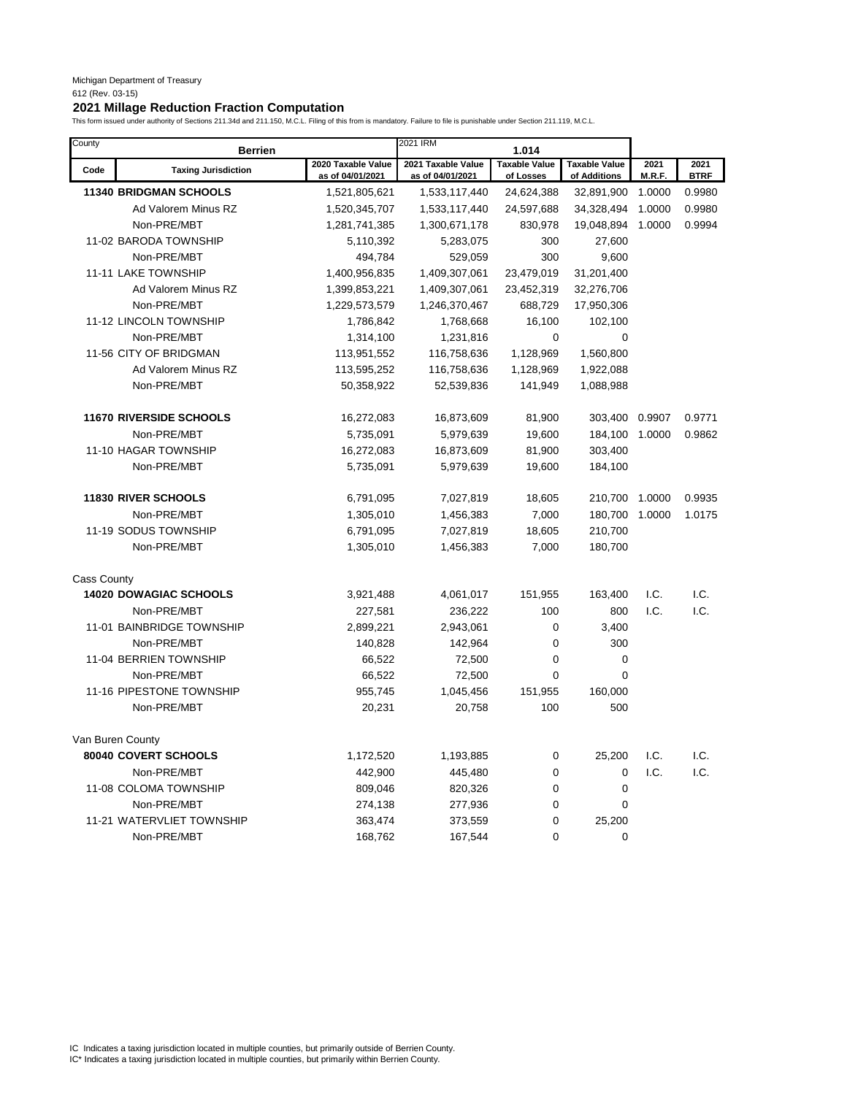| County             | <b>Berrien</b>                 |                                        | 2021 IRM                               | 1.014                             |                                      |                |                     |
|--------------------|--------------------------------|----------------------------------------|----------------------------------------|-----------------------------------|--------------------------------------|----------------|---------------------|
| Code               | <b>Taxing Jurisdiction</b>     | 2020 Taxable Value<br>as of 04/01/2021 | 2021 Taxable Value<br>as of 04/01/2021 | <b>Taxable Value</b><br>of Losses | <b>Taxable Value</b><br>of Additions | 2021<br>M.R.F. | 2021<br><b>BTRF</b> |
|                    | <b>11340 BRIDGMAN SCHOOLS</b>  | 1,521,805,621                          | 1,533,117,440                          | 24,624,388                        | 32,891,900                           | 1.0000         | 0.9980              |
|                    | Ad Valorem Minus RZ            | 1,520,345,707                          | 1,533,117,440                          | 24,597,688                        | 34,328,494                           | 1.0000         | 0.9980              |
|                    | Non-PRE/MBT                    | 1,281,741,385                          | 1,300,671,178                          | 830,978                           | 19,048,894                           | 1.0000         | 0.9994              |
|                    | 11-02 BARODA TOWNSHIP          | 5,110,392                              | 5,283,075                              | 300                               | 27,600                               |                |                     |
|                    | Non-PRE/MBT                    | 494,784                                | 529,059                                | 300                               | 9,600                                |                |                     |
|                    | 11-11 LAKE TOWNSHIP            | 1,400,956,835                          | 1,409,307,061                          | 23,479,019                        | 31,201,400                           |                |                     |
|                    | Ad Valorem Minus RZ            | 1,399,853,221                          | 1,409,307,061                          | 23,452,319                        | 32,276,706                           |                |                     |
|                    | Non-PRE/MBT                    | 1,229,573,579                          | 1,246,370,467                          | 688,729                           | 17,950,306                           |                |                     |
|                    | 11-12 LINCOLN TOWNSHIP         | 1,786,842                              | 1,768,668                              | 16,100                            | 102,100                              |                |                     |
|                    | Non-PRE/MBT                    | 1,314,100                              | 1,231,816                              | $\mathbf 0$                       | $\mathbf 0$                          |                |                     |
|                    | 11-56 CITY OF BRIDGMAN         | 113,951,552                            | 116,758,636                            | 1,128,969                         | 1,560,800                            |                |                     |
|                    | Ad Valorem Minus RZ            | 113,595,252                            | 116,758,636                            | 1,128,969                         | 1,922,088                            |                |                     |
|                    | Non-PRE/MBT                    | 50,358,922                             | 52,539,836                             | 141,949                           | 1,088,988                            |                |                     |
|                    | <b>11670 RIVERSIDE SCHOOLS</b> | 16,272,083                             | 16,873,609                             | 81,900                            | 303,400                              | 0.9907         | 0.9771              |
|                    | Non-PRE/MBT                    | 5,735,091                              | 5,979,639                              | 19,600                            | 184,100                              | 1.0000         | 0.9862              |
|                    | 11-10 HAGAR TOWNSHIP           | 16,272,083                             | 16,873,609                             | 81,900                            | 303,400                              |                |                     |
|                    | Non-PRE/MBT                    | 5,735,091                              | 5,979,639                              | 19,600                            | 184,100                              |                |                     |
|                    | <b>11830 RIVER SCHOOLS</b>     | 6,791,095                              | 7,027,819                              | 18,605                            | 210,700                              | 1.0000         | 0.9935              |
|                    | Non-PRE/MBT                    | 1,305,010                              | 1,456,383                              | 7,000                             | 180,700                              | 1.0000         | 1.0175              |
|                    | 11-19 SODUS TOWNSHIP           | 6,791,095                              | 7,027,819                              | 18,605                            | 210,700                              |                |                     |
|                    | Non-PRE/MBT                    | 1,305,010                              | 1,456,383                              | 7,000                             | 180,700                              |                |                     |
| <b>Cass County</b> |                                |                                        |                                        |                                   |                                      |                |                     |
|                    | <b>14020 DOWAGIAC SCHOOLS</b>  | 3,921,488                              | 4,061,017                              | 151,955                           | 163,400                              | I.C.           | I.C.                |
|                    | Non-PRE/MBT                    | 227,581                                | 236,222                                | 100                               | 800                                  | I.C.           | I.C.                |
|                    | 11-01 BAINBRIDGE TOWNSHIP      | 2,899,221                              | 2,943,061                              | 0                                 | 3,400                                |                |                     |
|                    | Non-PRE/MBT                    | 140,828                                | 142,964                                | 0                                 | 300                                  |                |                     |
|                    | 11-04 BERRIEN TOWNSHIP         | 66,522                                 | 72,500                                 | 0                                 | $\mathbf 0$                          |                |                     |
|                    | Non-PRE/MBT                    | 66,522                                 | 72,500                                 | 0                                 | $\mathbf 0$                          |                |                     |
|                    | 11-16 PIPESTONE TOWNSHIP       | 955,745                                | 1,045,456                              | 151,955                           | 160,000                              |                |                     |
|                    | Non-PRE/MBT                    | 20,231                                 | 20,758                                 | 100                               | 500                                  |                |                     |
|                    | Van Buren County               |                                        |                                        |                                   |                                      |                |                     |
|                    | 80040 COVERT SCHOOLS           | 1,172,520                              | 1,193,885                              | 0                                 | 25,200                               | I.C.           | I.C.                |
|                    | Non-PRE/MBT                    | 442,900                                | 445,480                                | 0                                 | $\Omega$                             | 1.C.           | I.C.                |
|                    | 11-08 COLOMA TOWNSHIP          | 809,046                                | 820,326                                | 0                                 | $\mathbf 0$                          |                |                     |
|                    | Non-PRE/MBT                    | 274,138                                | 277,936                                | 0                                 | $\mathbf 0$                          |                |                     |
|                    | 11-21 WATERVLIET TOWNSHIP      | 363,474                                | 373,559                                | 0                                 | 25,200                               |                |                     |
|                    | Non-PRE/MBT                    | 168,762                                | 167,544                                | $\Omega$                          | $\Omega$                             |                |                     |